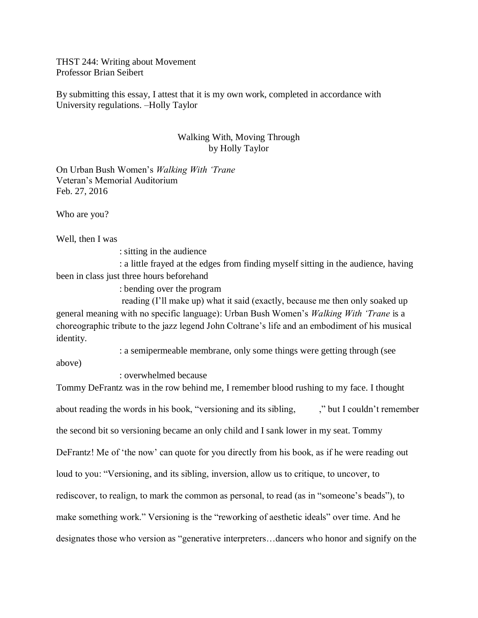THST 244: Writing about Movement Professor Brian Seibert

By submitting this essay, I attest that it is my own work, completed in accordance with University regulations. –Holly Taylor

## Walking With, Moving Through by Holly Taylor

On Urban Bush Women's *Walking With 'Trane* Veteran's Memorial Auditorium Feb. 27, 2016

Who are you?

Well, then I was

: sitting in the audience

 : a little frayed at the edges from finding myself sitting in the audience, having been in class just three hours beforehand

: bending over the program

 reading (I'll make up) what it said (exactly, because me then only soaked up general meaning with no specific language): Urban Bush Women's *Walking With 'Trane* is a choreographic tribute to the jazz legend John Coltrane's life and an embodiment of his musical identity.

: a semipermeable membrane, only some things were getting through (see

above)

: overwhelmed because

Tommy DeFrantz was in the row behind me, I remember blood rushing to my face. I thought about reading the words in his book, "versioning and its sibling, which I couldn't remember the second bit so versioning became an only child and I sank lower in my seat. Tommy DeFrantz! Me of 'the now' can quote for you directly from his book, as if he were reading out loud to you: "Versioning, and its sibling, inversion, allow us to critique, to uncover, to rediscover, to realign, to mark the common as personal, to read (as in "someone's beads"), to make something work." Versioning is the "reworking of aesthetic ideals" over time. And he designates those who version as "generative interpreters…dancers who honor and signify on the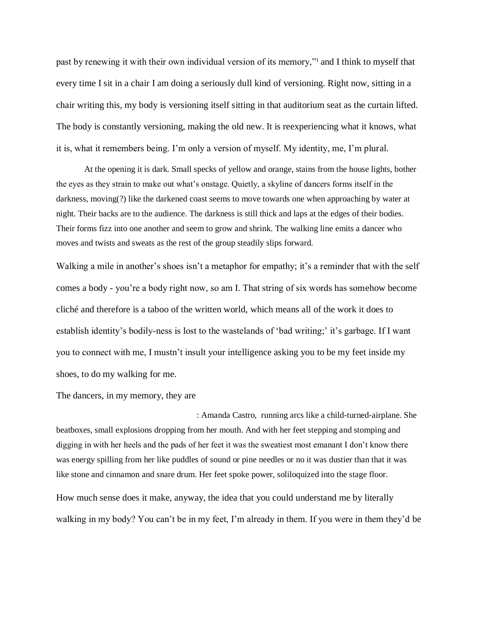past by renewing it with their own individual version of its memory," and I think to myself that every time I sit in a chair I am doing a seriously dull kind of versioning. Right now, sitting in a chair writing this, my body is versioning itself sitting in that auditorium seat as the curtain lifted. The body is constantly versioning, making the old new. It is reexperiencing what it knows, what it is, what it remembers being. I'm only a version of myself. My identity, me, I'm plural.

At the opening it is dark. Small specks of yellow and orange, stains from the house lights, bother the eyes as they strain to make out what's onstage. Quietly, a skyline of dancers forms itself in the darkness, moving(?) like the darkened coast seems to move towards one when approaching by water at night. Their backs are to the audience. The darkness is still thick and laps at the edges of their bodies. Their forms fizz into one another and seem to grow and shrink. The walking line emits a dancer who moves and twists and sweats as the rest of the group steadily slips forward.

Walking a mile in another's shoes isn't a metaphor for empathy; it's a reminder that with the self comes a body - you're a body right now, so am I. That string of six words has somehow become cliché and therefore is a taboo of the written world, which means all of the work it does to establish identity's bodily-ness is lost to the wastelands of 'bad writing;' it's garbage. If I want you to connect with me, I mustn't insult your intelligence asking you to be my feet inside my shoes, to do my walking for me.

The dancers, in my memory, they are

: Amanda Castro, running arcs like a child-turned-airplane. She beatboxes, small explosions dropping from her mouth. And with her feet stepping and stomping and digging in with her heels and the pads of her feet it was the sweatiest most emanant I don't know there was energy spilling from her like puddles of sound or pine needles or no it was dustier than that it was like stone and cinnamon and snare drum. Her feet spoke power, soliloquized into the stage floor.

How much sense does it make, anyway, the idea that you could understand me by literally walking in my body? You can't be in my feet, I'm already in them. If you were in them they'd be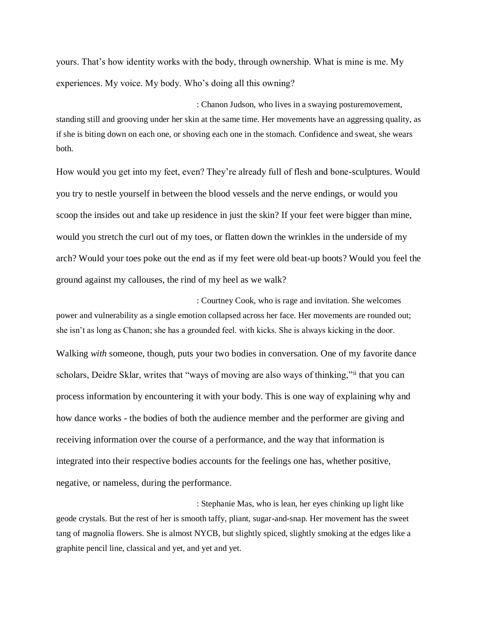yours. That's how identity works with the body, through ownership. What is mine is me. My experiences. My voice. My body. Who's doing all this owning?

: Chanon Judson, who lives in a swaying posturemovement, standing still and grooving under her skin at the same time. Her movements have an aggressing quality, as if she is biting down on each one, or shoving each one in the stomach. Confidence and sweat, she wears both.

How would you get into my feet, even? They're already full of flesh and bone-sculptures. Would you try to nestle yourself in between the blood vessels and the nerve endings, or would you scoop the insides out and take up residence in just the skin? If your feet were bigger than mine, would you stretch the curl out of my toes, or flatten down the wrinkles in the underside of my arch? Would your toes poke out the end as if my feet were old beat-up boots? Would you feel the ground against my callouses, the rind of my heel as we walk?

: Courtney Cook, who is rage and invitation. She welcomes power and vulnerability as a single emotion collapsed across her face. Her movements are rounded out; she isn't as long as Chanon; she has a grounded feel. with kicks. She is always kicking in the door.

Walking *with* someone, though, puts your two bodies in conversation. One of my favorite dance scholars, Deidre Sklar, writes that "ways of moving are also ways of thinking,"ii that you can process information by encountering it with your body. This is one way of explaining why and how dance works - the bodies of both the audience member and the performer are giving and receiving information over the course of a performance, and the way that information is integrated into their respective bodies accounts for the feelings one has, whether positive, negative, or nameless, during the performance.

: Stephanie Mas, who is lean, her eyes chinking up light like geode crystals. But the rest of her is smooth taffy, pliant, sugar-and-snap. Her movement has the sweet tang of magnolia flowers. She is almost NYCB, but slightly spiced, slightly smoking at the edges like a graphite pencil line, classical and yet, and yet and yet.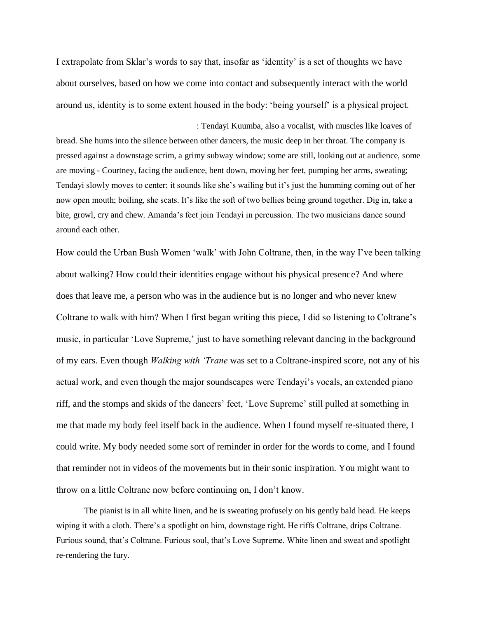I extrapolate from Sklar's words to say that, insofar as 'identity' is a set of thoughts we have about ourselves, based on how we come into contact and subsequently interact with the world around us, identity is to some extent housed in the body: 'being yourself' is a physical project.

: Tendayi Kuumba, also a vocalist, with muscles like loaves of bread. She hums into the silence between other dancers, the music deep in her throat. The company is pressed against a downstage scrim, a grimy subway window; some are still, looking out at audience, some are moving - Courtney, facing the audience, bent down, moving her feet, pumping her arms, sweating; Tendayi slowly moves to center; it sounds like she's wailing but it's just the humming coming out of her now open mouth; boiling, she scats. It's like the soft of two bellies being ground together. Dig in, take a bite, growl, cry and chew. Amanda's feet join Tendayi in percussion. The two musicians dance sound around each other.

How could the Urban Bush Women 'walk' with John Coltrane, then, in the way I've been talking about walking? How could their identities engage without his physical presence? And where does that leave me, a person who was in the audience but is no longer and who never knew Coltrane to walk with him? When I first began writing this piece, I did so listening to Coltrane's music, in particular 'Love Supreme,' just to have something relevant dancing in the background of my ears. Even though *Walking with 'Trane* was set to a Coltrane-inspired score, not any of his actual work, and even though the major soundscapes were Tendayi's vocals, an extended piano riff, and the stomps and skids of the dancers' feet, 'Love Supreme' still pulled at something in me that made my body feel itself back in the audience. When I found myself re-situated there, I could write. My body needed some sort of reminder in order for the words to come, and I found that reminder not in videos of the movements but in their sonic inspiration. You might want to throw on a little Coltrane now before continuing on, I don't know.

The pianist is in all white linen, and he is sweating profusely on his gently bald head. He keeps wiping it with a cloth. There's a spotlight on him, downstage right. He riffs Coltrane, drips Coltrane. Furious sound, that's Coltrane. Furious soul, that's Love Supreme. White linen and sweat and spotlight re-rendering the fury.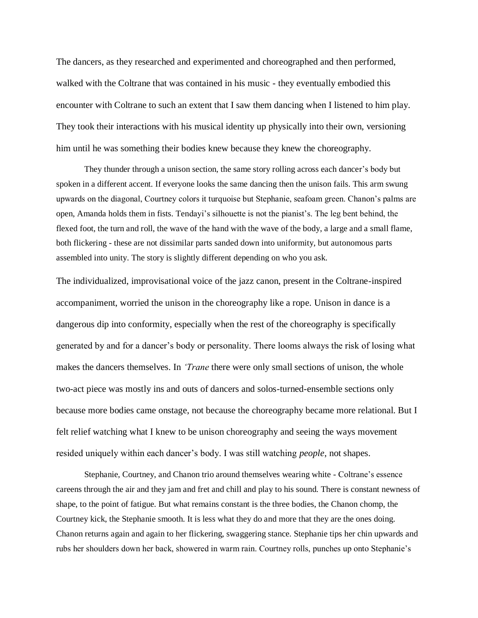The dancers, as they researched and experimented and choreographed and then performed, walked with the Coltrane that was contained in his music - they eventually embodied this encounter with Coltrane to such an extent that I saw them dancing when I listened to him play. They took their interactions with his musical identity up physically into their own, versioning him until he was something their bodies knew because they knew the choreography.

They thunder through a unison section, the same story rolling across each dancer's body but spoken in a different accent. If everyone looks the same dancing then the unison fails. This arm swung upwards on the diagonal, Courtney colors it turquoise but Stephanie, seafoam green. Chanon's palms are open, Amanda holds them in fists. Tendayi's silhouette is not the pianist's. The leg bent behind, the flexed foot, the turn and roll, the wave of the hand with the wave of the body, a large and a small flame, both flickering - these are not dissimilar parts sanded down into uniformity, but autonomous parts assembled into unity. The story is slightly different depending on who you ask.

The individualized, improvisational voice of the jazz canon, present in the Coltrane-inspired accompaniment, worried the unison in the choreography like a rope. Unison in dance is a dangerous dip into conformity, especially when the rest of the choreography is specifically generated by and for a dancer's body or personality. There looms always the risk of losing what makes the dancers themselves. In *'Trane* there were only small sections of unison, the whole two-act piece was mostly ins and outs of dancers and solos-turned-ensemble sections only because more bodies came onstage, not because the choreography became more relational. But I felt relief watching what I knew to be unison choreography and seeing the ways movement resided uniquely within each dancer's body. I was still watching *people*, not shapes.

Stephanie, Courtney, and Chanon trio around themselves wearing white - Coltrane's essence careens through the air and they jam and fret and chill and play to his sound. There is constant newness of shape, to the point of fatigue. But what remains constant is the three bodies, the Chanon chomp, the Courtney kick, the Stephanie smooth. It is less what they do and more that they are the ones doing. Chanon returns again and again to her flickering, swaggering stance. Stephanie tips her chin upwards and rubs her shoulders down her back, showered in warm rain. Courtney rolls, punches up onto Stephanie's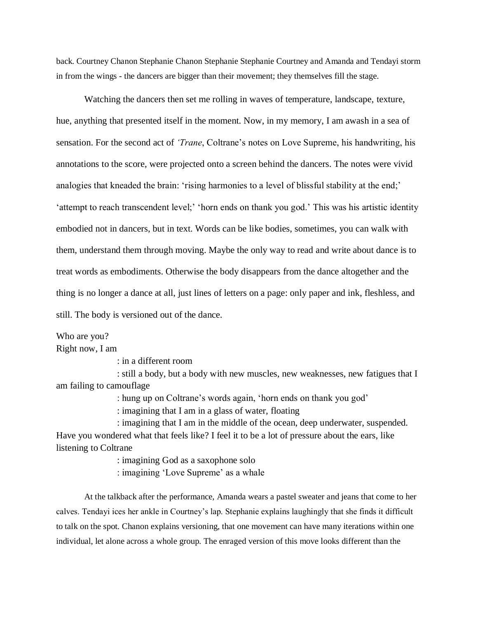back. Courtney Chanon Stephanie Chanon Stephanie Stephanie Courtney and Amanda and Tendayi storm in from the wings - the dancers are bigger than their movement; they themselves fill the stage.

Watching the dancers then set me rolling in waves of temperature, landscape, texture, hue, anything that presented itself in the moment. Now, in my memory, I am awash in a sea of sensation. For the second act of *'Trane*, Coltrane's notes on Love Supreme, his handwriting, his annotations to the score, were projected onto a screen behind the dancers. The notes were vivid analogies that kneaded the brain: 'rising harmonies to a level of blissful stability at the end;' 'attempt to reach transcendent level;' 'horn ends on thank you god.' This was his artistic identity embodied not in dancers, but in text. Words can be like bodies, sometimes, you can walk with them, understand them through moving. Maybe the only way to read and write about dance is to treat words as embodiments. Otherwise the body disappears from the dance altogether and the thing is no longer a dance at all, just lines of letters on a page: only paper and ink, fleshless, and still. The body is versioned out of the dance.

Who are you? Right now, I am

: in a different room

 : still a body, but a body with new muscles, new weaknesses, new fatigues that I am failing to camouflage

: hung up on Coltrane's words again, 'horn ends on thank you god'

: imagining that I am in a glass of water, floating

 : imagining that I am in the middle of the ocean, deep underwater, suspended. Have you wondered what that feels like? I feel it to be a lot of pressure about the ears, like listening to Coltrane

: imagining God as a saxophone solo

: imagining 'Love Supreme' as a whale

At the talkback after the performance, Amanda wears a pastel sweater and jeans that come to her calves. Tendayi ices her ankle in Courtney's lap. Stephanie explains laughingly that she finds it difficult to talk on the spot. Chanon explains versioning, that one movement can have many iterations within one individual, let alone across a whole group. The enraged version of this move looks different than the